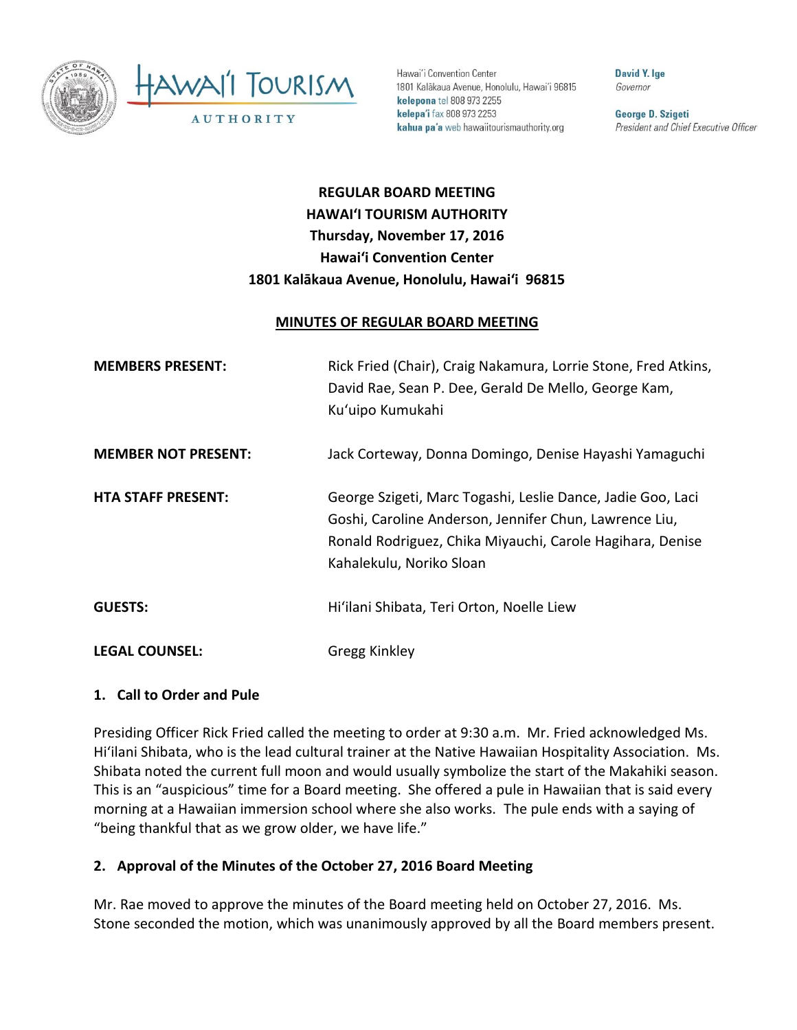

Hawai'i Convention Center 1801 Kalakaua Avenue, Honolulu, Hawai'i 96815 kelepona tel 808 973 2255 kelepa'i fax 808 973 2253 kahua pa'a web hawaiitourismauthority.org

**David Y. Ige** Governor

George D. Szigeti President and Chief Executive Officer

# **REGULAR BOARD MEETING HAWAI'I TOURISM AUTHORITY Thursday, November 17, 2016 Hawai'i Convention Center 1801 Kalākaua Avenue, Honolulu, Hawai'i 96815**

#### **MINUTES OF REGULAR BOARD MEETING**

| <b>MEMBERS PRESENT:</b>    | Rick Fried (Chair), Craig Nakamura, Lorrie Stone, Fred Atkins,<br>David Rae, Sean P. Dee, Gerald De Mello, George Kam,<br>Ku'uipo Kumukahi                                                                     |
|----------------------------|----------------------------------------------------------------------------------------------------------------------------------------------------------------------------------------------------------------|
| <b>MEMBER NOT PRESENT:</b> | Jack Corteway, Donna Domingo, Denise Hayashi Yamaguchi                                                                                                                                                         |
| <b>HTA STAFF PRESENT:</b>  | George Szigeti, Marc Togashi, Leslie Dance, Jadie Goo, Laci<br>Goshi, Caroline Anderson, Jennifer Chun, Lawrence Liu,<br>Ronald Rodriguez, Chika Miyauchi, Carole Hagihara, Denise<br>Kahalekulu, Noriko Sloan |
| <b>GUESTS:</b>             | Hi'ilani Shibata, Teri Orton, Noelle Liew                                                                                                                                                                      |
| <b>LEGAL COUNSEL:</b>      | Gregg Kinkley                                                                                                                                                                                                  |

# **1. Call to Order and Pule**

Presiding Officer Rick Fried called the meeting to order at 9:30 a.m. Mr. Fried acknowledged Ms. Hi'ilani Shibata, who is the lead cultural trainer at the Native Hawaiian Hospitality Association. Ms. Shibata noted the current full moon and would usually symbolize the start of the Makahiki season. This is an "auspicious" time for a Board meeting. She offered a pule in Hawaiian that is said every morning at a Hawaiian immersion school where she also works. The pule ends with a saying of "being thankful that as we grow older, we have life."

#### **2. Approval of the Minutes of the October 27, 2016 Board Meeting**

Mr. Rae moved to approve the minutes of the Board meeting held on October 27, 2016. Ms. Stone seconded the motion, which was unanimously approved by all the Board members present.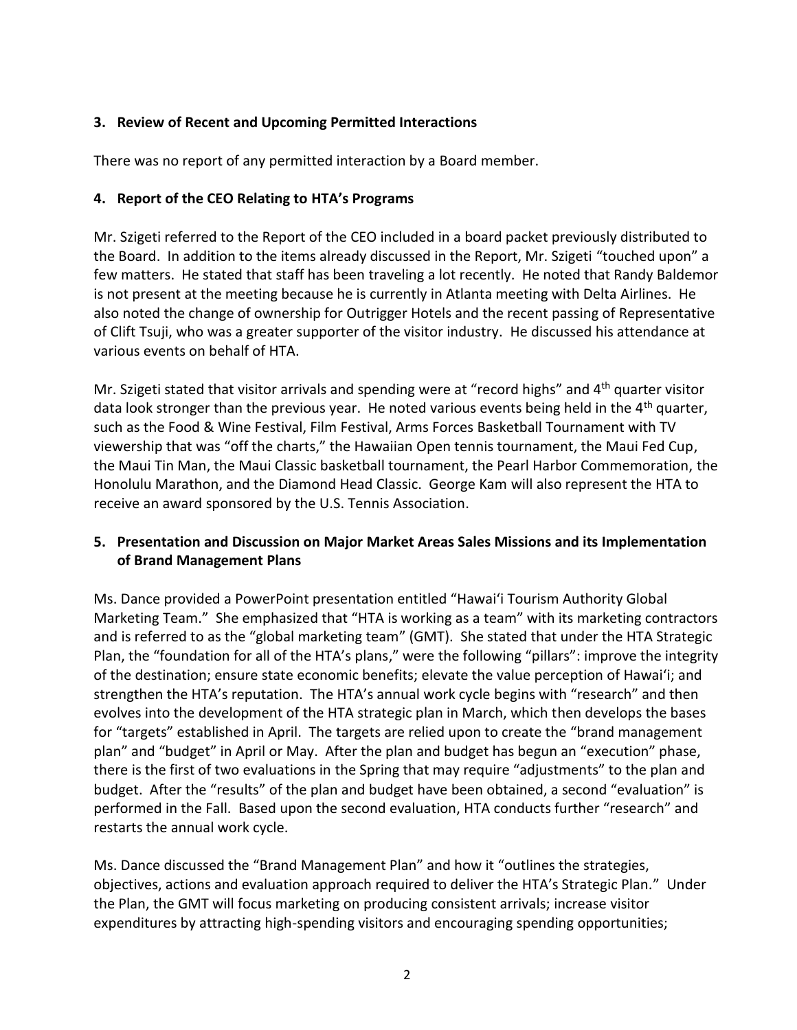# **3. Review of Recent and Upcoming Permitted Interactions**

There was no report of any permitted interaction by a Board member.

# **4. Report of the CEO Relating to HTA's Programs**

Mr. Szigeti referred to the Report of the CEO included in a board packet previously distributed to the Board. In addition to the items already discussed in the Report, Mr. Szigeti "touched upon" a few matters. He stated that staff has been traveling a lot recently. He noted that Randy Baldemor is not present at the meeting because he is currently in Atlanta meeting with Delta Airlines. He also noted the change of ownership for Outrigger Hotels and the recent passing of Representative of Clift Tsuji, who was a greater supporter of the visitor industry. He discussed his attendance at various events on behalf of HTA.

Mr. Szigeti stated that visitor arrivals and spending were at "record highs" and 4<sup>th</sup> quarter visitor data look stronger than the previous year. He noted various events being held in the 4<sup>th</sup> quarter, such as the Food & Wine Festival, Film Festival, Arms Forces Basketball Tournament with TV viewership that was "off the charts," the Hawaiian Open tennis tournament, the Maui Fed Cup, the Maui Tin Man, the Maui Classic basketball tournament, the Pearl Harbor Commemoration, the Honolulu Marathon, and the Diamond Head Classic. George Kam will also represent the HTA to receive an award sponsored by the U.S. Tennis Association.

# **5. Presentation and Discussion on Major Market Areas Sales Missions and its Implementation of Brand Management Plans**

Ms. Dance provided a PowerPoint presentation entitled "Hawai'i Tourism Authority Global Marketing Team." She emphasized that "HTA is working as a team" with its marketing contractors and is referred to as the "global marketing team" (GMT). She stated that under the HTA Strategic Plan, the "foundation for all of the HTA's plans," were the following "pillars": improve the integrity of the destination; ensure state economic benefits; elevate the value perception of Hawai'i; and strengthen the HTA's reputation. The HTA's annual work cycle begins with "research" and then evolves into the development of the HTA strategic plan in March, which then develops the bases for "targets" established in April. The targets are relied upon to create the "brand management plan" and "budget" in April or May. After the plan and budget has begun an "execution" phase, there is the first of two evaluations in the Spring that may require "adjustments" to the plan and budget. After the "results" of the plan and budget have been obtained, a second "evaluation" is performed in the Fall. Based upon the second evaluation, HTA conducts further "research" and restarts the annual work cycle.

Ms. Dance discussed the "Brand Management Plan" and how it "outlines the strategies, objectives, actions and evaluation approach required to deliver the HTA's Strategic Plan." Under the Plan, the GMT will focus marketing on producing consistent arrivals; increase visitor expenditures by attracting high-spending visitors and encouraging spending opportunities;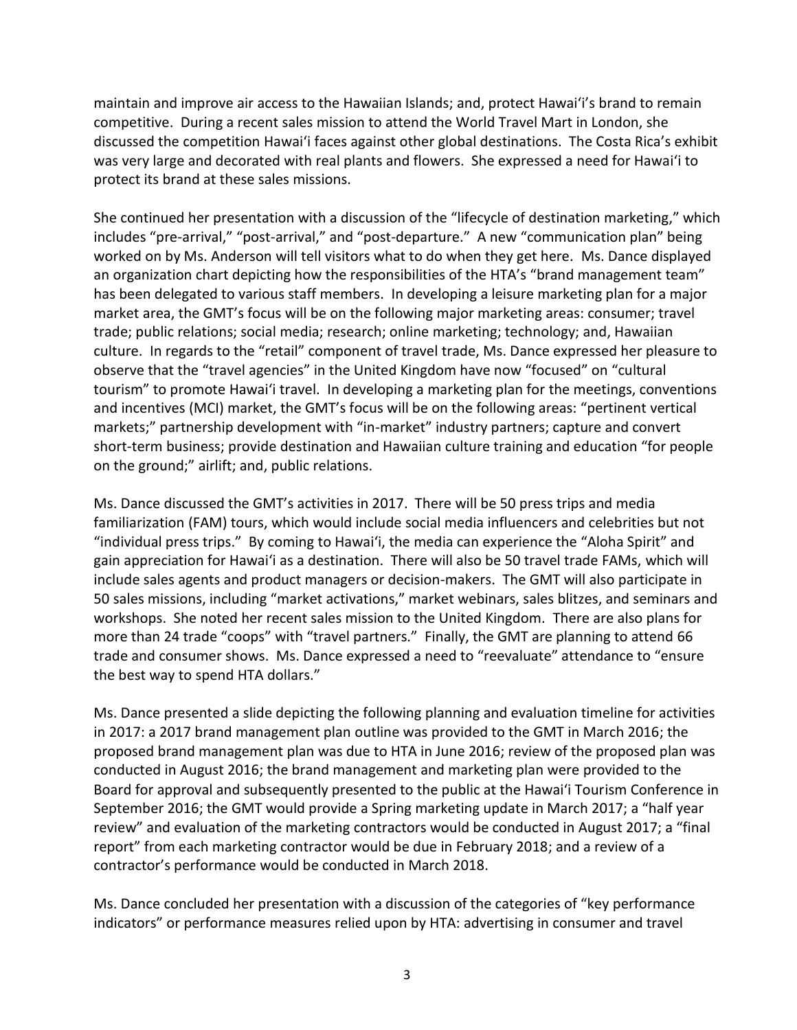maintain and improve air access to the Hawaiian Islands; and, protect Hawai'i's brand to remain competitive. During a recent sales mission to attend the World Travel Mart in London, she discussed the competition Hawai'i faces against other global destinations. The Costa Rica's exhibit was very large and decorated with real plants and flowers. She expressed a need for Hawai'i to protect its brand at these sales missions.

She continued her presentation with a discussion of the "lifecycle of destination marketing," which includes "pre-arrival," "post-arrival," and "post-departure." A new "communication plan" being worked on by Ms. Anderson will tell visitors what to do when they get here. Ms. Dance displayed an organization chart depicting how the responsibilities of the HTA's "brand management team" has been delegated to various staff members. In developing a leisure marketing plan for a major market area, the GMT's focus will be on the following major marketing areas: consumer; travel trade; public relations; social media; research; online marketing; technology; and, Hawaiian culture. In regards to the "retail" component of travel trade, Ms. Dance expressed her pleasure to observe that the "travel agencies" in the United Kingdom have now "focused" on "cultural tourism" to promote Hawai'i travel. In developing a marketing plan for the meetings, conventions and incentives (MCI) market, the GMT's focus will be on the following areas: "pertinent vertical markets;" partnership development with "in-market" industry partners; capture and convert short-term business; provide destination and Hawaiian culture training and education "for people on the ground;" airlift; and, public relations.

Ms. Dance discussed the GMT's activities in 2017. There will be 50 press trips and media familiarization (FAM) tours, which would include social media influencers and celebrities but not "individual press trips." By coming to Hawai'i, the media can experience the "Aloha Spirit" and gain appreciation for Hawai'i as a destination. There will also be 50 travel trade FAMs, which will include sales agents and product managers or decision-makers. The GMT will also participate in 50 sales missions, including "market activations," market webinars, sales blitzes, and seminars and workshops. She noted her recent sales mission to the United Kingdom. There are also plans for more than 24 trade "coops" with "travel partners." Finally, the GMT are planning to attend 66 trade and consumer shows. Ms. Dance expressed a need to "reevaluate" attendance to "ensure the best way to spend HTA dollars."

Ms. Dance presented a slide depicting the following planning and evaluation timeline for activities in 2017: a 2017 brand management plan outline was provided to the GMT in March 2016; the proposed brand management plan was due to HTA in June 2016; review of the proposed plan was conducted in August 2016; the brand management and marketing plan were provided to the Board for approval and subsequently presented to the public at the Hawai'i Tourism Conference in September 2016; the GMT would provide a Spring marketing update in March 2017; a "half year review" and evaluation of the marketing contractors would be conducted in August 2017; a "final report" from each marketing contractor would be due in February 2018; and a review of a contractor's performance would be conducted in March 2018.

Ms. Dance concluded her presentation with a discussion of the categories of "key performance indicators" or performance measures relied upon by HTA: advertising in consumer and travel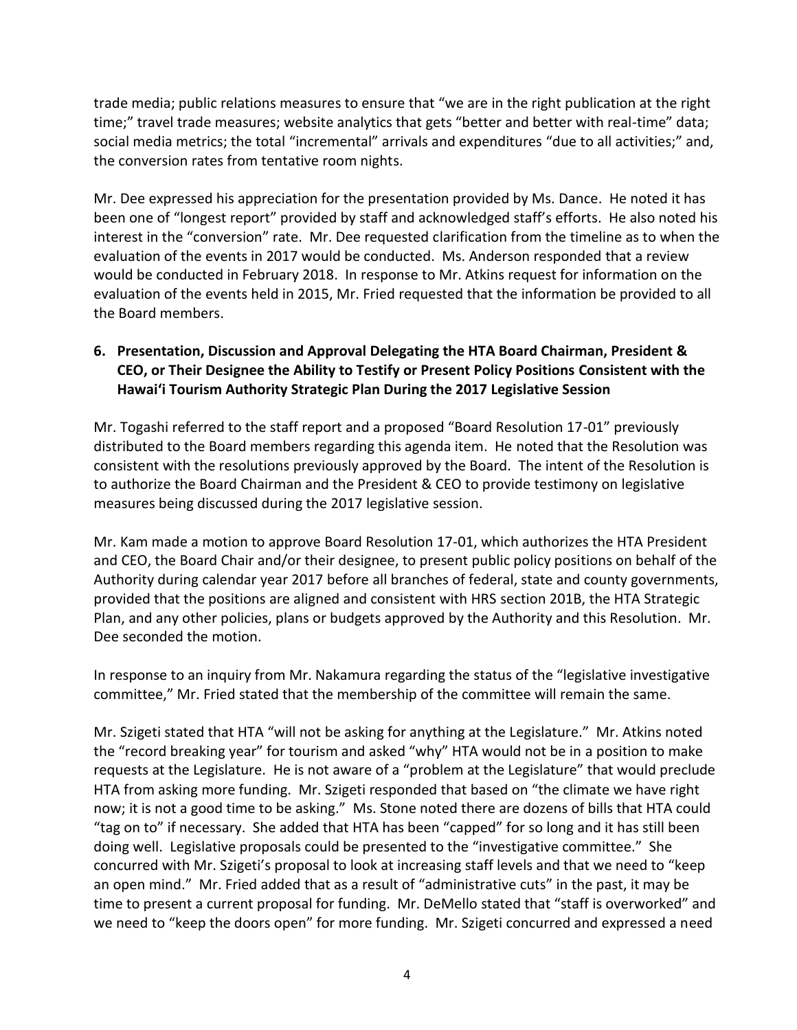trade media; public relations measures to ensure that "we are in the right publication at the right time;" travel trade measures; website analytics that gets "better and better with real-time" data; social media metrics; the total "incremental" arrivals and expenditures "due to all activities;" and, the conversion rates from tentative room nights.

Mr. Dee expressed his appreciation for the presentation provided by Ms. Dance. He noted it has been one of "longest report" provided by staff and acknowledged staff's efforts. He also noted his interest in the "conversion" rate. Mr. Dee requested clarification from the timeline as to when the evaluation of the events in 2017 would be conducted. Ms. Anderson responded that a review would be conducted in February 2018. In response to Mr. Atkins request for information on the evaluation of the events held in 2015, Mr. Fried requested that the information be provided to all the Board members.

# **6. Presentation, Discussion and Approval Delegating the HTA Board Chairman, President & CEO, or Their Designee the Ability to Testify or Present Policy Positions Consistent with the Hawai'i Tourism Authority Strategic Plan During the 2017 Legislative Session**

Mr. Togashi referred to the staff report and a proposed "Board Resolution 17-01" previously distributed to the Board members regarding this agenda item. He noted that the Resolution was consistent with the resolutions previously approved by the Board. The intent of the Resolution is to authorize the Board Chairman and the President & CEO to provide testimony on legislative measures being discussed during the 2017 legislative session.

Mr. Kam made a motion to approve Board Resolution 17-01, which authorizes the HTA President and CEO, the Board Chair and/or their designee, to present public policy positions on behalf of the Authority during calendar year 2017 before all branches of federal, state and county governments, provided that the positions are aligned and consistent with HRS section 201B, the HTA Strategic Plan, and any other policies, plans or budgets approved by the Authority and this Resolution. Mr. Dee seconded the motion.

In response to an inquiry from Mr. Nakamura regarding the status of the "legislative investigative committee," Mr. Fried stated that the membership of the committee will remain the same.

Mr. Szigeti stated that HTA "will not be asking for anything at the Legislature." Mr. Atkins noted the "record breaking year" for tourism and asked "why" HTA would not be in a position to make requests at the Legislature. He is not aware of a "problem at the Legislature" that would preclude HTA from asking more funding. Mr. Szigeti responded that based on "the climate we have right now; it is not a good time to be asking." Ms. Stone noted there are dozens of bills that HTA could "tag on to" if necessary. She added that HTA has been "capped" for so long and it has still been doing well. Legislative proposals could be presented to the "investigative committee." She concurred with Mr. Szigeti's proposal to look at increasing staff levels and that we need to "keep an open mind." Mr. Fried added that as a result of "administrative cuts" in the past, it may be time to present a current proposal for funding. Mr. DeMello stated that "staff is overworked" and we need to "keep the doors open" for more funding. Mr. Szigeti concurred and expressed a need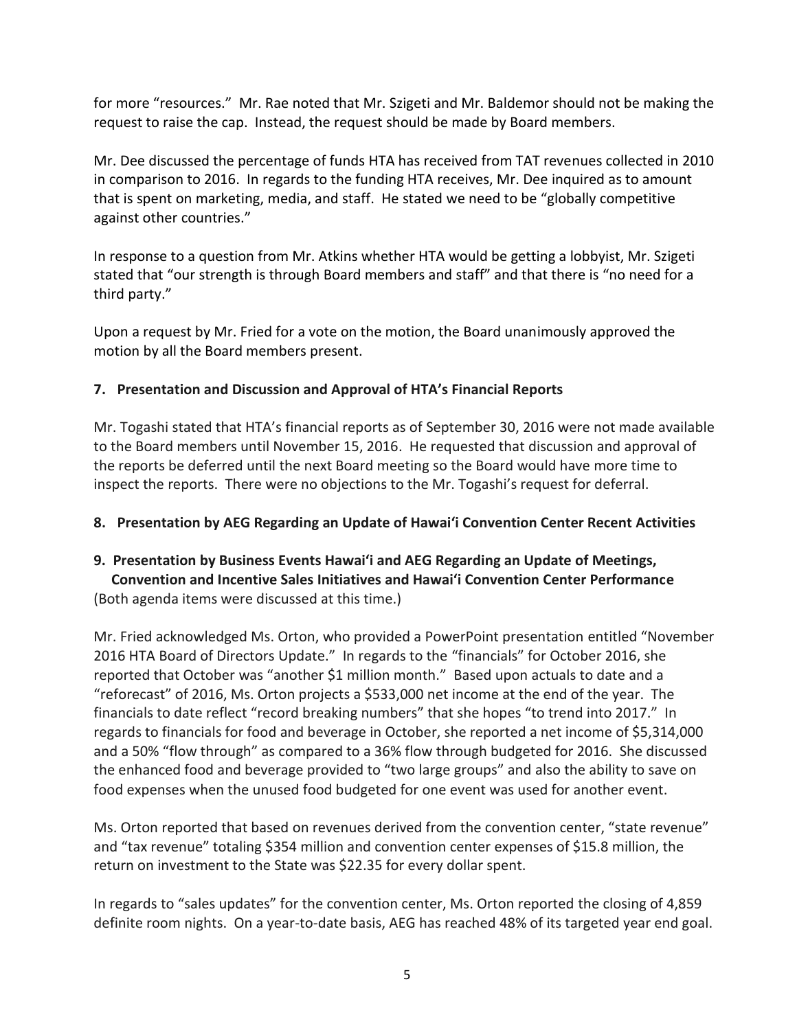for more "resources." Mr. Rae noted that Mr. Szigeti and Mr. Baldemor should not be making the request to raise the cap. Instead, the request should be made by Board members.

Mr. Dee discussed the percentage of funds HTA has received from TAT revenues collected in 2010 in comparison to 2016. In regards to the funding HTA receives, Mr. Dee inquired as to amount that is spent on marketing, media, and staff. He stated we need to be "globally competitive against other countries."

In response to a question from Mr. Atkins whether HTA would be getting a lobbyist, Mr. Szigeti stated that "our strength is through Board members and staff" and that there is "no need for a third party."

Upon a request by Mr. Fried for a vote on the motion, the Board unanimously approved the motion by all the Board members present.

# **7. Presentation and Discussion and Approval of HTA's Financial Reports**

Mr. Togashi stated that HTA's financial reports as of September 30, 2016 were not made available to the Board members until November 15, 2016. He requested that discussion and approval of the reports be deferred until the next Board meeting so the Board would have more time to inspect the reports. There were no objections to the Mr. Togashi's request for deferral.

# **8. Presentation by AEG Regarding an Update of Hawai'i Convention Center Recent Activities**

# **9. Presentation by Business Events Hawai'i and AEG Regarding an Update of Meetings, Convention and Incentive Sales Initiatives and Hawai'i Convention Center Performance** (Both agenda items were discussed at this time.)

Mr. Fried acknowledged Ms. Orton, who provided a PowerPoint presentation entitled "November 2016 HTA Board of Directors Update." In regards to the "financials" for October 2016, she reported that October was "another \$1 million month." Based upon actuals to date and a "reforecast" of 2016, Ms. Orton projects a \$533,000 net income at the end of the year. The financials to date reflect "record breaking numbers" that she hopes "to trend into 2017." In regards to financials for food and beverage in October, she reported a net income of \$5,314,000 and a 50% "flow through" as compared to a 36% flow through budgeted for 2016. She discussed the enhanced food and beverage provided to "two large groups" and also the ability to save on food expenses when the unused food budgeted for one event was used for another event.

Ms. Orton reported that based on revenues derived from the convention center, "state revenue" and "tax revenue" totaling \$354 million and convention center expenses of \$15.8 million, the return on investment to the State was \$22.35 for every dollar spent.

In regards to "sales updates" for the convention center, Ms. Orton reported the closing of 4,859 definite room nights. On a year-to-date basis, AEG has reached 48% of its targeted year end goal.